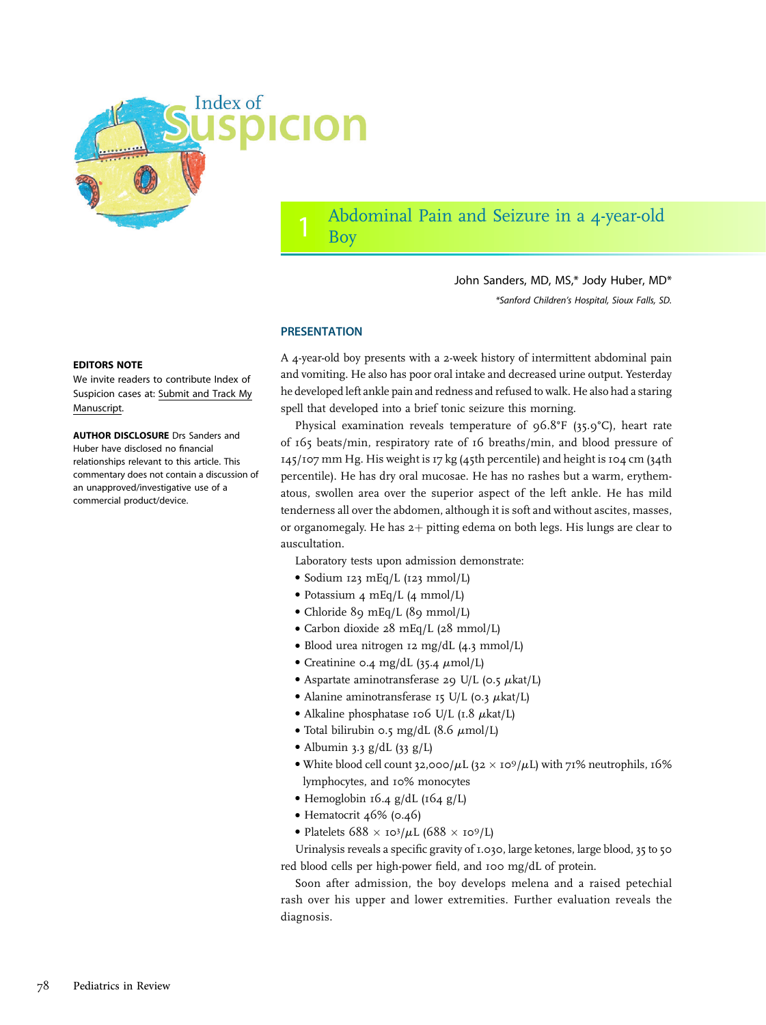

# Abdominal Pain and Seizure in a 4-year-old Boy

John Sanders, MD, MS,\* Jody Huber, MD\* \*Sanford Children's Hospital, Sioux Falls, SD.

## **PRESENTATION**

A 4-year-old boy presents with a 2-week history of intermittent abdominal pain and vomiting. He also has poor oral intake and decreased urine output. Yesterday he developed left ankle pain and redness and refused to walk. He also had a staring spell that developed into a brief tonic seizure this morning.

Physical examination reveals temperature of 96.8°F (35.9°C), heart rate of 165 beats/min, respiratory rate of 16 breaths/min, and blood pressure of 145/107 mm Hg. His weight is 17 kg (45th percentile) and height is 104 cm (34th percentile). He has dry oral mucosae. He has no rashes but a warm, erythematous, swollen area over the superior aspect of the left ankle. He has mild tenderness all over the abdomen, although it is soft and without ascites, masses, or organomegaly. He has  $2+$  pitting edema on both legs. His lungs are clear to auscultation.

Laboratory tests upon admission demonstrate:

- Sodium 123 mEq/L (123 mmol/L)
- Potassium 4 mEq/L (4 mmol/L)
- Chloride 89 mEq/L (89 mmol/L)
- Carbon dioxide 28 mEq/L (28 mmol/L)
- Blood urea nitrogen 12 mg/dL (4.3 mmol/L)
- Creatinine 0.4 mg/dL  $(35.4 \mu \text{mol/L})$
- Aspartate aminotransferase 29 U/L (0.5  $\mu$ kat/L)
- Alanine aminotransferase 15 U/L (0.3  $\mu$ kat/L)
- Alkaline phosphatase 106 U/L (1.8  $\mu$ kat/L)
- Total bilirubin 0.5 mg/dL (8.6  $\mu$ mol/L)
- Albumin 3.3  $g/dL$  (33  $g/L$ )
- White blood cell count 32,000/ $\mu$ L (32  $\times$  10<sup>9</sup>/ $\mu$ L) with 71% neutrophils, 16% lymphocytes, and 10% monocytes
- Hemoglobin 16.4 g/dL (164 g/L)
- Hematocrit 46% (0.46)
- Platelets  $688 \times 10^3/\mu L$  (688  $\times 10^9/\mu L$ )

Urinalysis reveals a specific gravity of 1.030, large ketones, large blood, 35 to 50 red blood cells per high-power field, and 100 mg/dL of protein.

Soon after admission, the boy develops melena and a raised petechial rash over his upper and lower extremities. Further evaluation reveals the diagnosis.

#### EDITORS NOTE

We invite readers to contribute Index of Suspicion cases at: [Submit and Track My](http://mc.manuscriptcentral.com/pir) [Manuscript](http://mc.manuscriptcentral.com/pir).

AUTHOR DISCLOSURE Drs Sanders and Huber have disclosed no financial relationships relevant to this article. This commentary does not contain a discussion of an unapproved/investigative use of a commercial product/device.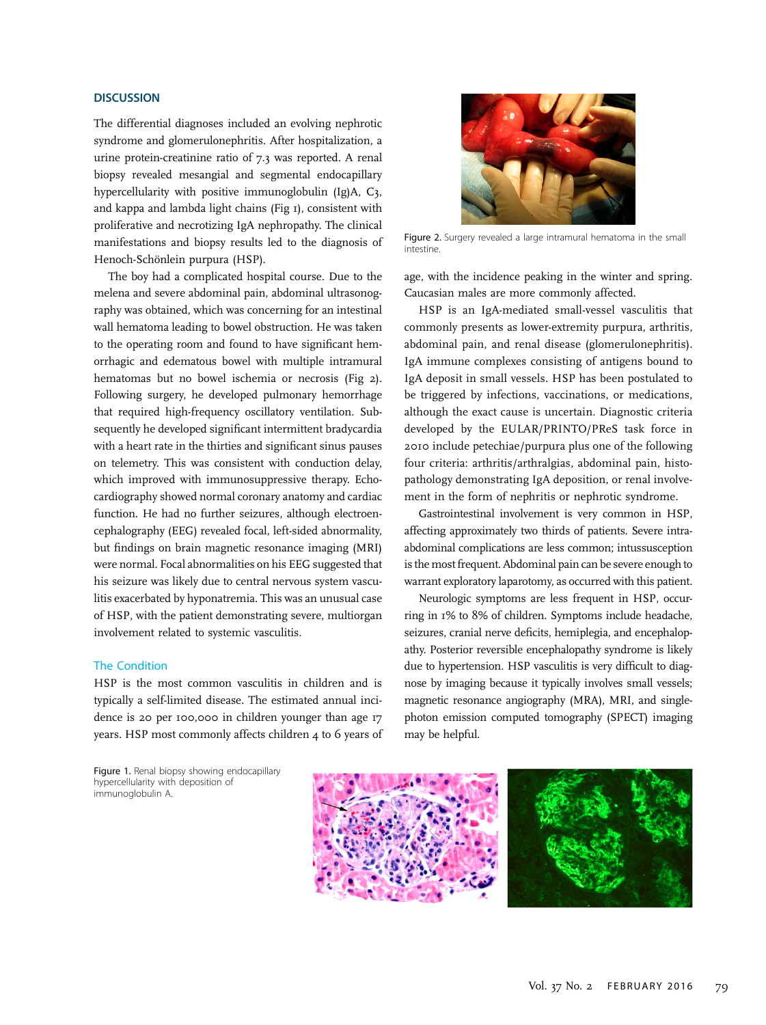# **DISCUSSION**

The differential diagnoses included an evolving nephrotic syndrome and glomerulonephritis. After hospitalization, a urine protein-creatinine ratio of 7.3 was reported. A renal biopsy revealed mesangial and segmental endocapillary hypercellularity with positive immunoglobulin (Ig)A, C3, and kappa and lambda light chains (Fig 1), consistent with proliferative and necrotizing IgA nephropathy. The clinical manifestations and biopsy results led to the diagnosis of Henoch-Schönlein purpura (HSP).

The boy had a complicated hospital course. Due to the melena and severe abdominal pain, abdominal ultrasonography was obtained, which was concerning for an intestinal wall hematoma leading to bowel obstruction. He was taken to the operating room and found to have significant hemorrhagic and edematous bowel with multiple intramural hematomas but no bowel ischemia or necrosis (Fig 2). Following surgery, he developed pulmonary hemorrhage that required high-frequency oscillatory ventilation. Subsequently he developed significant intermittent bradycardia with a heart rate in the thirties and significant sinus pauses on telemetry. This was consistent with conduction delay, which improved with immunosuppressive therapy. Echocardiography showed normal coronary anatomy and cardiac function. He had no further seizures, although electroencephalography (EEG) revealed focal, left-sided abnormality, but findings on brain magnetic resonance imaging (MRI) were normal. Focal abnormalities on his EEG suggested that his seizure was likely due to central nervous system vasculitis exacerbated by hyponatremia. This was an unusual case of HSP, with the patient demonstrating severe, multiorgan involvement related to systemic vasculitis.

#### The Condition

HSP is the most common vasculitis in children and is typically a self-limited disease. The estimated annual incidence is 20 per 100,000 in children younger than age 17 years. HSP most commonly affects children 4 to 6 years of

Figure 1. Renal biopsy showing endocapillary hypercellularity with deposition of immunoglobulin A.



Figure 2. Surgery revealed a large intramural hematoma in the small intestine.

age, with the incidence peaking in the winter and spring. Caucasian males are more commonly affected.

HSP is an IgA-mediated small-vessel vasculitis that commonly presents as lower-extremity purpura, arthritis, abdominal pain, and renal disease (glomerulonephritis). IgA immune complexes consisting of antigens bound to IgA deposit in small vessels. HSP has been postulated to be triggered by infections, vaccinations, or medications, although the exact cause is uncertain. Diagnostic criteria developed by the EULAR/PRINTO/PReS task force in 2010 include petechiae/purpura plus one of the following four criteria: arthritis/arthralgias, abdominal pain, histopathology demonstrating IgA deposition, or renal involvement in the form of nephritis or nephrotic syndrome.

Gastrointestinal involvement is very common in HSP, affecting approximately two thirds of patients. Severe intraabdominal complications are less common; intussusception is the most frequent. Abdominal pain can be severe enough to warrant exploratory laparotomy, as occurred with this patient.

Neurologic symptoms are less frequent in HSP, occurring in 1% to 8% of children. Symptoms include headache, seizures, cranial nerve deficits, hemiplegia, and encephalopathy. Posterior reversible encephalopathy syndrome is likely due to hypertension. HSP vasculitis is very difficult to diagnose by imaging because it typically involves small vessels; magnetic resonance angiography (MRA), MRI, and singlephoton emission computed tomography (SPECT) imaging may be helpful.